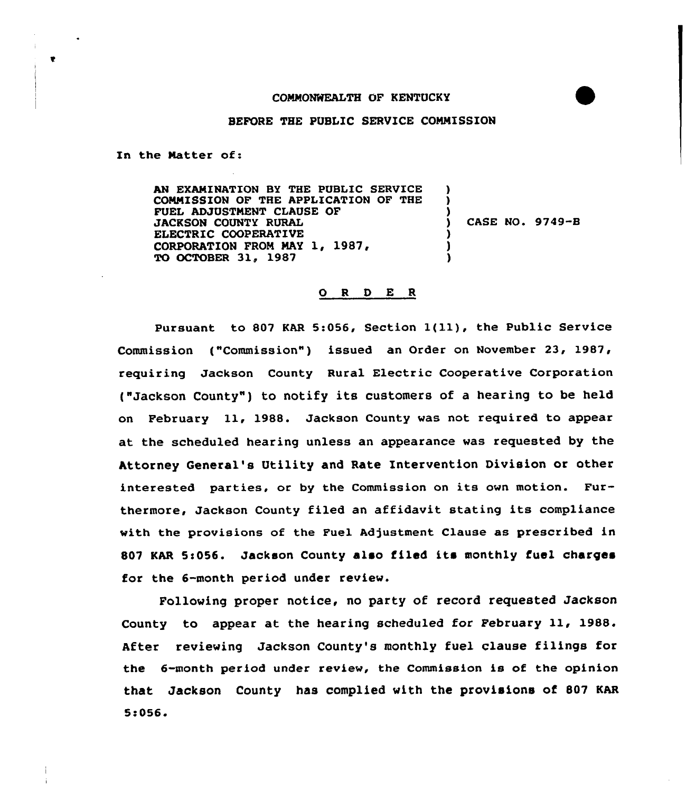## COMMONWEALTH OF KENTUCKY

## BEFORE THE PUBLIC SERVICE COMMISSION

In the Matter of:

AN EXAMINATION BY THE PUBLIC SERUICE COMMISSION OF THE APPLICATION OF THE FUEL ADJUSTMENT CLAUSE OF JACKSON COUNTY RURAL ELECTRIC COOPERATIVE CORPORATION FROM MAY 1, 1987, TO OCTOBER 31, 1987

) CASE NO. 9749-B

) ) )

> ) ) )

## 0 <sup>R</sup> <sup>D</sup> E <sup>R</sup>

Pursuant to 807 KAR 5:056, Section  $1(11)$ , the Public Service Commission ("Commission") issued an Order on November 23, 1987, requiring Jackson County Rural Electric Cooperative Corporation ("Jackson County") to notify its customers of a hearing to be held on February 11, 1988. Jackson County was not required to appear at the scheduled hearing unless an appearance was requested by the Attorney General's Utility and Rate Intervention Division or other interested parties, ar by the Commission on its own motion. Furthermore, Jackson County filed an affidavit stating its compliance with the provisions of the Fuel Adjustment Clause as prescribed in 807 KAR 5:056. Jackson County also filed its monthly fuel charges for the 6-month period under review.

Following proper notice, no party of record requested Jackson County to appear at the hearing scheduled for February ll, 1988. After reviewing Jackson County's monthly fuel clause filings for the 6-month period under review, the Commission is af the opinion that Jackson County has complied with the provisions of 807 KAR 5:056.